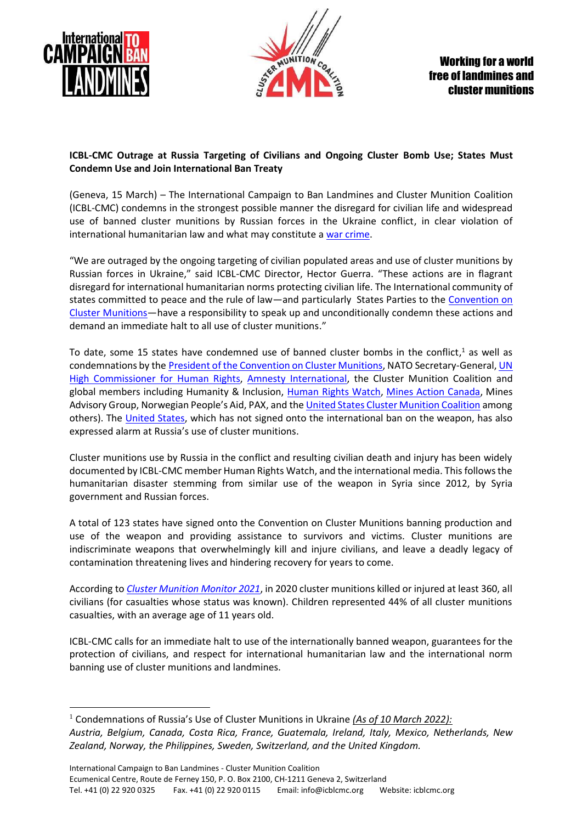



## **ICBL-CMC Outrage at Russia Targeting of Civilians and Ongoing Cluster Bomb Use; States Must Condemn Use and Join International Ban Treaty**

(Geneva, 15 March) – The International Campaign to Ban Landmines and Cluster Munition Coalition (ICBL-CMC) condemns in the strongest possible manner the disregard for civilian life and widespread use of banned cluster munitions by Russian forces in the Ukraine conflict, in clear violation of international humanitarian law and what may constitute a [war crime.](https://www.hrw.org/news/2022/03/04/ukraine-cluster-munitions-launched-kharkiv-neighborhoods)

"We are outraged by the ongoing targeting of civilian populated areas and use of cluster munitions by Russian forces in Ukraine," said ICBL-CMC Director, Hector Guerra. "These actions are in flagrant disregard for international humanitarian norms protecting civilian life. The International community of states committed to peace and the rule of law—and particularly States Parties to the [Convention on](https://www.clusterconvention.org/)  [Cluster Munitions](https://www.clusterconvention.org/)—have a responsibility to speak up and unconditionally condemn these actions and demand an immediate halt to all use of cluster munitions."

To date, some 15 states have condemned use of banned cluster bombs in the conflict, <sup>1</sup> as well as condemnations by the [President of the Convention on Cluster Munitions,](https://twitter.com/AidanLiddle/status/1499046035804594178?s=20&t=4flLg1HeJf2F5C6hSp0qYg) NATO Secretary-General, UN [High Commissioner for Human Rights,](https://reliefweb.int/report/ukraine/press-briefing-notes-ukraine-11-march-2022) [Amnesty International,](https://www.amnesty.org/en/latest/news/2022/02/ukraine-cluster-munitions-kill-child-and-two-other-civilians-taking-shelter-at-a-preschool/) the Cluster Munition Coalition and global members including Humanity & Inclusion, [Human Rights Watch,](https://www.hrw.org/news/2022/02/25/ukraine-russian-cluster-munition-hits-hospital) [Mines Action Canada,](https://www.minesactioncanada.org/clustersinukraine) Mines Advisory Group, Norwegian People's Aid, PAX, and th[e United States Cluster Munition Coalition](http://www.noclusterbombs.org/news/2022/03/09/uscbl-uscmc-strongly-condemns-continued-use-of-cluster-munitions-in-ukraine/) among others). The [United States,](https://geneva.usmission.gov/2022/03/03/hrc-49-urgent-debate-on-human-rights-situation-in-ukraine/) which has not signed onto the international ban on the weapon, has also expressed alarm at Russia's use of cluster munitions.

Cluster munitions use by Russia in the conflict and resulting civilian death and injury has been widely documented by ICBL-CMC member Human Rights Watch, and the international media. This follows the humanitarian disaster stemming from similar use of the weapon in Syria since 2012, by Syria government and Russian forces.

A total of 123 states have signed onto the Convention on Cluster Munitions banning production and use of the weapon and providing assistance to survivors and victims. Cluster munitions are indiscriminate weapons that overwhelmingly kill and injure civilians, and leave a deadly legacy of contamination threatening lives and hindering recovery for years to come.

According to *[Cluster Munition Monitor 2021](http://www.the-monitor.org/en-gb/reports/2021/cluster-munition-monitor-2021.aspx)*, in 2020 cluster munitions killed or injured at least 360, all civilians (for casualties whose status was known). Children represented 44% of all cluster munitions casualties, with an average age of 11 years old.

ICBL-CMC calls for an immediate halt to use of the internationally banned weapon, guarantees for the protection of civilians, and respect for international humanitarian law and the international norm banning use of cluster munitions and landmines.

<sup>1</sup> Condemnations of Russia's Use of Cluster Munitions in Ukraine *(As of 10 March 2022): Austria, Belgium, Canada, Costa Rica, France, Guatemala, Ireland, Italy, Mexico, Netherlands, New Zealand, Norway, the Philippines, Sweden, Switzerland, and the United Kingdom.*